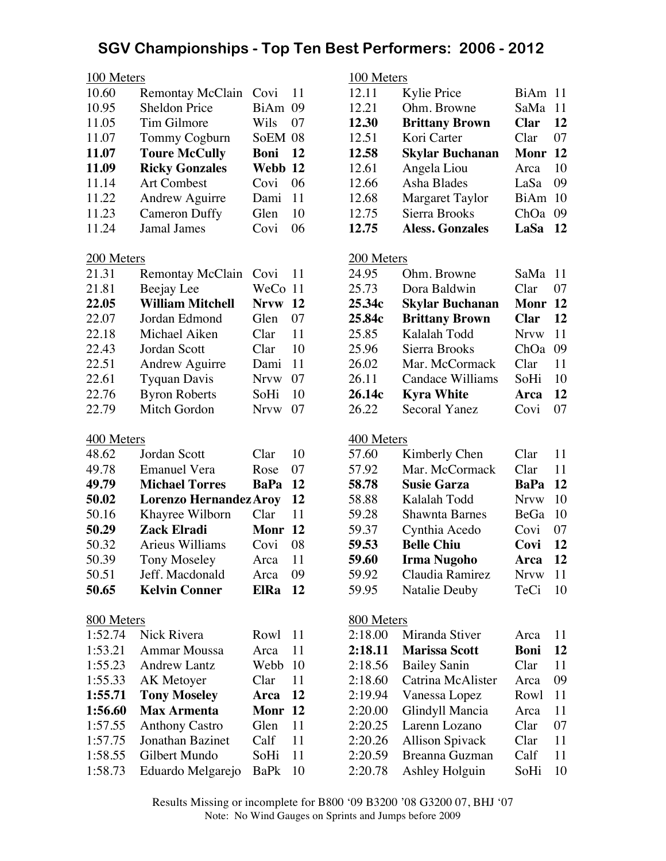| 10.60 | <b>Remontay McClain</b> | Covi    | 11 |
|-------|-------------------------|---------|----|
| 10.95 | <b>Sheldon Price</b>    | BiAm    | 09 |
| 11.05 | Tim Gilmore             | Wils    | 07 |
| 11.07 | Tommy Cogburn           | SoEM 08 |    |
| 11.07 | <b>Toure McCully</b>    | Boni    | 12 |
|       |                         |         |    |
| 11.09 | <b>Ricky Gonzales</b>   | Webb 12 |    |
| 11.14 | <b>Art Combest</b>      | Covi    | 06 |
| 11.22 | <b>Andrew Aguirre</b>   | Dami    | 11 |
| 11.23 | <b>Cameron Duffy</b>    | Glen    | 10 |

#### 200 Meters

| 21.31 | <b>Remontay McClain</b> | Covi        | 11 |
|-------|-------------------------|-------------|----|
| 21.81 | Beejay Lee              | WeCo 11     |    |
| 22.05 | <b>William Mitchell</b> | <b>Nrvw</b> | 12 |
| 22.07 | Jordan Edmond           | Glen        | 07 |
| 22.18 | Michael Aiken           | Clar        | 11 |
| 22.43 | Jordan Scott            | Clar        | 10 |
| 22.51 | <b>Andrew Aguirre</b>   | Dami        | 11 |
| 22.61 | <b>Tyquan Davis</b>     | <b>Nrvw</b> | 07 |
| 22.76 | <b>Byron Roberts</b>    | SoHi        | 10 |
| 22.79 | Mitch Gordon            | <b>Nrvw</b> | 07 |

#### 400 Meters

| Jordan Scott          | Clar        | 10                                       |
|-----------------------|-------------|------------------------------------------|
| <b>Emanuel Vera</b>   | Rose        | 07                                       |
| <b>Michael Torres</b> | BaPa        | 12                                       |
|                       |             | 12                                       |
| Khayree Wilborn       | Clar        | 11                                       |
| Zack Elradi           |             |                                          |
| Arieus Williams       | Covi        | 08                                       |
| <b>Tony Moseley</b>   | Arca        | 11                                       |
| Jeff. Macdonald       | Arca        | 09                                       |
| <b>Kelvin Conner</b>  | <b>ElRa</b> | 12                                       |
|                       |             | <b>Lorenzo Hernandez Aroy</b><br>Monr 12 |

#### 800 Meters

| 1:52.74 | Nick Rivera           | Rowl        | 11       |
|---------|-----------------------|-------------|----------|
| 1:53.21 | <b>Ammar Moussa</b>   | Arca        | 11       |
| 1:55.23 | <b>Andrew Lantz</b>   | Webb        | 10       |
| 1:55.33 | <b>AK</b> Metoyer     | Clar        | 11       |
| 1:55.71 | <b>Tony Moseley</b>   | Arca        | 12       |
|         |                       |             |          |
| 1:56.60 | <b>Max Armenta</b>    | Monr        | 12       |
| 1:57.55 | <b>Anthony Castro</b> | Glen        | 11       |
| 1:57.75 | Jonathan Bazinet      | Calf        | 11       |
| 1:58.55 | Gilbert Mundo         | SoHi        |          |
| 1:58.73 | Eduardo Melgarejo     | <b>BaPk</b> | 11<br>10 |

## 100 Meters 12.11 Kylie Price BiAm 11<br>12.21 Ohm. Browne SaMa 11 Ohm. Browne SaMa 11 **12.30 Brittany Brown Clar 12** 12.51 Kori Carter Clar 07 **12.58 Skylar Buchanan Monr 12** 12.61 Angela Liou Arca 10 12.66 Asha Blades LaSa 09 12.68 Margaret Taylor BiAm 10 12.75 Sierra Brooks ChOa 09<br>12.75 Aless. Gonzales LaSa 12 **12.75 Aless. Gonzales** 200 Meters 24.95 Ohm. Browne SaMa 11 25.73 Dora Baldwin Clar 07 **25.34c Skylar Buchanan Monr 12 25.84c Brittany Brown Clar 12** 25.85 Kalalah Todd Nrvw 11 25.96 Sierra Brooks ChOa 09 26.02 Mar. McCormack Clar 11 26.11 Candace Williams SoHi 10 **26.14c Kyra White Arca 12** 26.22 Secoral Yanez Covi 07 400 Meters 57.60 Kimberly Chen Clar 11 57.92 Mar. McCormack Clar 11 **58.78 Susie Garza BaPa 12** 58.88 Kalalah Todd Nrvw 10 59.28 Shawnta Barnes BeGa 10 59.37 Cynthia Acedo Covi 07 **59.53 Belle Chiu Covi 12 59.60 Irma Nugoho Arca 12** 59.92 Claudia Ramirez Nrvw 11 59.95 Natalie Deuby TeCi 10

#### 800 Meters

| 2:18.00 | Miranda Stiver         | Arca | 11 |
|---------|------------------------|------|----|
| 2:18.11 | <b>Marissa Scott</b>   | Boni | 12 |
| 2:18.56 | <b>Bailey Sanin</b>    | Clar | 11 |
| 2:18.60 | Catrina McAlister      | Arca | 09 |
| 2:19.94 | Vanessa Lopez          | Rowl | 11 |
| 2:20.00 | Glindyll Mancia        | Arca | 11 |
| 2:20.25 | Larenn Lozano          | Clar | 07 |
| 2:20.26 | <b>Allison Spivack</b> | Clar | 11 |
| 2:20.59 | Breanna Guzman         | Calf | 11 |
| 2:20.78 | Ashley Holguin         | SoHi | 10 |
|         |                        |      |    |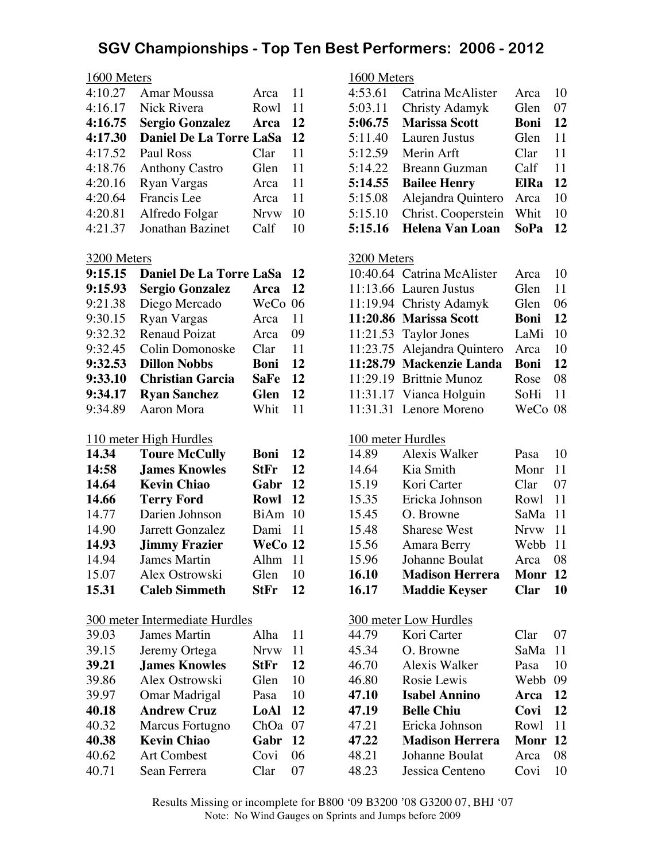#### 1600 Meters

| 4:10.27 | Amar Moussa                    | Arca        | 11 |
|---------|--------------------------------|-------------|----|
| 4:16.17 | Nick Rivera                    | Rowl        | 11 |
| 4:16.75 | <b>Sergio Gonzalez</b>         | Arca        | 12 |
| 4:17.30 | <b>Daniel De La Torre LaSa</b> |             | 12 |
| 4:17.52 | Paul Ross                      | Clar        | 11 |
| 4:18.76 | <b>Anthony Castro</b>          | Glen        | 11 |
| 4:20.16 | <b>Ryan Vargas</b>             | Arca        | 11 |
| 4:20.64 | Francis Lee                    | Arca        | 11 |
| 4:20.81 | Alfredo Folgar                 | <b>Nrvw</b> | 10 |
| 4:21.37 | Jonathan Bazinet               | Calf        | 10 |

#### 3200 Meters

| 9:15.15 | <b>Daniel De La Torre LaSa</b> |             | 12 |
|---------|--------------------------------|-------------|----|
| 9:15.93 | Sergio Gonzalez                | Arca        | 12 |
| 9:21.38 | Diego Mercado                  | WeCo 06     |    |
| 9:30.15 | <b>Ryan Vargas</b>             | Arca        | 11 |
| 9:32.32 | <b>Renaud Poizat</b>           | Arca        | 09 |
| 9:32.45 | Colin Domonoske                | Clar        | 11 |
| 9:32.53 | <b>Dillon Nobbs</b>            | Boni        | 12 |
| 9:33.10 | <b>Christian Garcia</b>        | <b>SaFe</b> | 12 |
| 9:34.17 | <b>Ryan Sanchez</b>            | <b>Glen</b> | 12 |
| 9:34.89 | Aaron Mora                     | Whit        | 11 |

#### 110 meter High Hurdles

| 14.34 | <b>Toure McCully</b> | Boni        | 12 |
|-------|----------------------|-------------|----|
| 14:58 | <b>James Knowles</b> | <b>StFr</b> | 12 |
| 14.64 | <b>Kevin Chiao</b>   | Gabr        | 12 |
| 14.66 | <b>Terry Ford</b>    | Rowl        | 12 |
| 14.77 | Darien Johnson       | BiAm 10     |    |
| 14.90 | Jarrett Gonzalez     | Dami 11     |    |
| 14.93 | <b>Jimmy Frazier</b> | WeCo 12     |    |
| 14.94 | James Martin         | Alhm 11     |    |
| 15.07 | Alex Ostrowski       | Glen        | 10 |
| 15.31 | <b>Caleb Simmeth</b> | <b>StFr</b> | 12 |

## 300 meter Intermediate Hurdles

| 39.03 | <b>James Martin</b>  | Alha        | 11 |
|-------|----------------------|-------------|----|
| 39.15 | Jeremy Ortega        | <b>Nrvw</b> | 11 |
| 39.21 | <b>James Knowles</b> | <b>StFr</b> | 12 |
| 39.86 | Alex Ostrowski       | Glen        | 10 |
| 39.97 | Omar Madrigal        | Pasa        | 10 |
| 40.18 | <b>Andrew Cruz</b>   | LoAl        | 12 |
| 40.32 | Marcus Fortugno      | ChOa        | 07 |
| 40.38 | <b>Kevin Chiao</b>   | Gabr        | 12 |
| 40.62 | <b>Art Combest</b>   | Covi        | 06 |
| 40.71 | Sean Ferrera         | Clar        | 07 |
|       |                      |             |    |

## 1600 Meters

| 4:53.61 | Catrina McAlister    | Arca        | 10 |
|---------|----------------------|-------------|----|
| 5:03.11 | Christy Adamyk       | Glen        | 07 |
| 5:06.75 | <b>Marissa Scott</b> | Boni        | 12 |
| 5:11.40 | Lauren Justus        | Glen        | 11 |
| 5:12.59 | Merin Arft           | Clar        | 11 |
| 5:14.22 | <b>Breann Guzman</b> | Calf        | 11 |
| 5:14.55 | <b>Bailee Henry</b>  | <b>ElRa</b> | 12 |
| 5:15.08 | Alejandra Quintero   | Arca        | 10 |
| 5:15.10 | Christ. Cooperstein  | Whit        | 10 |
| 5:15.16 | Helena Van Loan      | <b>SoPa</b> | 12 |

#### 3200 Meters

| 10:40.64 Catrina McAlister  | Arca        | 10 |
|-----------------------------|-------------|----|
| 11:13.66 Lauren Justus      | Glen        | 11 |
| 11:19.94 Christy Adamyk     | Glen        | 06 |
| 11:20.86 Marissa Scott      | <b>Boni</b> | 12 |
| $11:21.53$ Taylor Jones     | LaMi        | 10 |
| 11:23.75 Alejandra Quintero | Arca        | 10 |
| 11:28.79 Mackenzie Landa    | Boni        | 12 |
| 11:29.19 Brittnie Munoz     | Rose        | 08 |
| 11:31.17 Vianca Holguin     | SoHi        | 11 |
| 11:31.31 Lenore Moreno      | WeCo 08     |    |

## 100 meter Hurdles

| 14.89 | Alexis Walker          | Pasa        | 10 |
|-------|------------------------|-------------|----|
| 14.64 | Kia Smith              | Monr        | 11 |
| 15.19 | Kori Carter            | Clar        | 07 |
| 15.35 | Ericka Johnson         | Rowl 11     |    |
| 15.45 | O. Browne              | SaMa        | 11 |
| 15.48 | <b>Sharese West</b>    | <b>Nrvw</b> | 11 |
| 15.56 | Amara Berry            | Webb 11     |    |
| 15.96 | Johanne Boulat         | Arca        | 08 |
| 16.10 | <b>Madison Herrera</b> | Monr 12     |    |
| 16.17 | <b>Maddie Keyser</b>   | Clar        | 10 |

#### 300 meter Low Hurdles

| Kori Carter            | Clar -  | 07 |
|------------------------|---------|----|
| O. Browne              | SaMa    | 11 |
| Alexis Walker          | Pasa    | 10 |
| Rosie Lewis            | Webb    | 09 |
| <b>Isabel Annino</b>   | Arca    | 12 |
| <b>Belle Chiu</b>      | Covi    | 12 |
| Ericka Johnson         | Rowl    | 11 |
| <b>Madison Herrera</b> | Monr 12 |    |
| Johanne Boulat         | Arca    | 08 |
| Jessica Centeno        | Covi    | 10 |
|                        |         |    |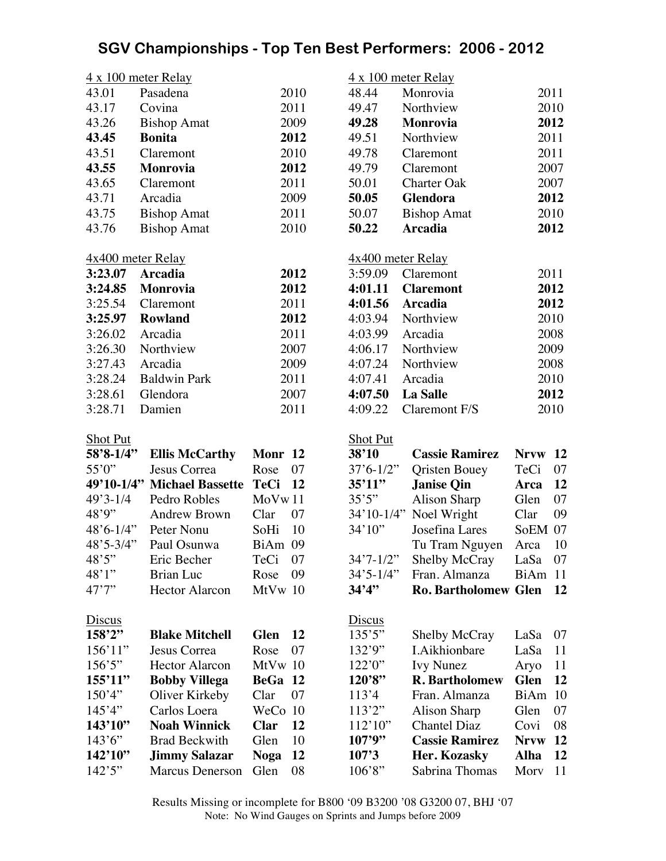|                     | $4 \times 100$ meter Relay  |             |           |                   | $4 \times 100$ meter Relay  |             |      |
|---------------------|-----------------------------|-------------|-----------|-------------------|-----------------------------|-------------|------|
| 43.01               | Pasadena                    |             | 2010      | 48.44             | Monrovia                    |             | 2011 |
| 43.17               | Covina                      |             | 2011      | 49.47             | Northview                   |             | 2010 |
| 43.26               | <b>Bishop Amat</b>          |             | 2009      | 49.28             | Monrovia                    |             | 2012 |
| 43.45               | <b>Bonita</b>               |             | 2012      | 49.51             | Northview                   |             | 2011 |
| 43.51               | Claremont                   |             | 2010      | 49.78             | Claremont                   |             | 2011 |
| 43.55               | Monrovia                    |             | 2012      | 49.79             | Claremont                   |             | 2007 |
| 43.65               | Claremont                   |             | 2011      | 50.01             | <b>Charter Oak</b>          |             | 2007 |
| 43.71               | Arcadia                     |             | 2009      | 50.05             | Glendora                    |             | 2012 |
| 43.75               | <b>Bishop Amat</b>          |             | 2011      | 50.07             | <b>Bishop Amat</b>          |             | 2010 |
| 43.76               | <b>Bishop Amat</b>          |             | 2010      | 50.22             | <b>Arcadia</b>              |             | 2012 |
|                     |                             |             |           |                   |                             |             |      |
| 4x400 meter Relay   |                             |             |           | 4x400 meter Relay |                             |             |      |
| 3:23.07             | <b>Arcadia</b>              |             | 2012      | 3:59.09           | Claremont                   |             | 2011 |
| 3:24.85             | Monrovia                    |             | 2012      | 4:01.11           | <b>Claremont</b>            |             | 2012 |
| 3:25.54             | Claremont                   |             | 2011      | 4:01.56           | <b>Arcadia</b>              |             | 2012 |
| 3:25.97             | Rowland                     |             | 2012      | 4:03.94           | Northview                   |             | 2010 |
| 3:26.02             | Arcadia                     |             | 2011      | 4:03.99           | Arcadia                     |             | 2008 |
| 3:26.30             | Northview                   |             | 2007      | 4:06.17           | Northview                   |             | 2009 |
| 3:27.43             | Arcadia                     |             | 2009      | 4:07.24           | Northview                   |             | 2008 |
| 3:28.24             | <b>Baldwin Park</b>         |             | 2011      | 4:07.41           | Arcadia                     |             | 2010 |
| 3:28.61             | Glendora                    |             | 2007      | 4:07.50           | <b>La Salle</b>             |             | 2012 |
| 3:28.71             | Damien                      |             | 2011      | 4:09.22           | Claremont F/S               |             | 2010 |
|                     |                             |             |           |                   |                             |             |      |
| <b>Shot Put</b>     |                             |             |           | <b>Shot Put</b>   |                             |             |      |
| $58'8 - 1/4"$       | <b>Ellis McCarthy</b>       | Monr 12     |           | 38'10             | <b>Cassie Ramirez</b>       | <b>Nrvw</b> | 12   |
| 55'0''              | Jesus Correa                | Rose        | 07        | $37'6 - 1/2''$    | <b>Qristen Bouey</b>        | TeCi        | 07   |
|                     | 49'10-1/4" Michael Bassette | <b>TeCi</b> | <b>12</b> | 35'11''           | <b>Janise Qin</b>           | Arca        | 12   |
| $49'3 - 1/4$        | Pedro Robles                | MoVw11      |           | 35'5''            | <b>Alison Sharp</b>         | Glen        | 07   |
| 48'9''              | Andrew Brown                | Clar        | 07        | $34'10-1/4"$      | Noel Wright                 | Clar        | 09   |
| $48^{\circ}6 - 1/4$ | Peter Nonu                  | SoHi        | 10        | 34'10''           | Josefina Lares              | SoEM 07     |      |
| $48'5 - 3/4"$       | Paul Osunwa                 | BiAm 09     |           |                   | Tu Tram Nguyen              | Arca        | 10   |
| 48'5''              | Eric Becher                 | TeCi 07     |           | $34'7 - 1/2''$    | Shelby McCray               | LaSa 07     |      |
| 48'1"               | Brian Luc                   | Rose        | - 09      | $34'5 - 1/4"$     | Fran. Almanza               | BiAm 11     |      |
| 47'7''              | <b>Hector Alarcon</b>       | $MtVw$ 10   |           | 34'4''            | <b>Ro. Bartholomew Glen</b> |             | 12   |
| <u>Discus</u>       |                             |             |           | <b>Discus</b>     |                             |             |      |
| 158'2''             | <b>Blake Mitchell</b>       | <b>Glen</b> | 12        | 135'5''           | <b>Shelby McCray</b>        | LaSa        | 07   |
| 156'11"             | Jesus Correa                | Rose        | 07        | 132'9''           | <b>I.Aikhionbare</b>        | LaSa        | 11   |
| 156'5''             | <b>Hector Alarcon</b>       | MtVw 10     |           | 122'0''           | <b>Ivy Nunez</b>            | Aryo        | 11   |
| 155'11''            | <b>Bobby Villega</b>        | BeGa 12     |           | 120'8''           | <b>R.</b> Bartholomew       | <b>Glen</b> | 12   |
| 150'4"              | Oliver Kirkeby              | Clar        | 07        | 113'4             | Fran. Almanza               | BiAm        | 10   |
| 145'4"              | Carlos Loera                | WeCo 10     |           | 113'2''           | Alison Sharp                | Glen        | 07   |
| 143'10''            | <b>Noah Winnick</b>         | <b>Clar</b> | 12        | 112'10''          | <b>Chantel Diaz</b>         | Covi        | 08   |
| 143'6'              | <b>Brad Beckwith</b>        | Glen        | 10        | 107'9''           | <b>Cassie Ramirez</b>       | <b>Nrvw</b> | 12   |
| 142'10''            | <b>Jimmy Salazar</b>        | <b>Noga</b> | 12        | 107'3             | Her. Kozasky                | <b>Alha</b> | 12   |